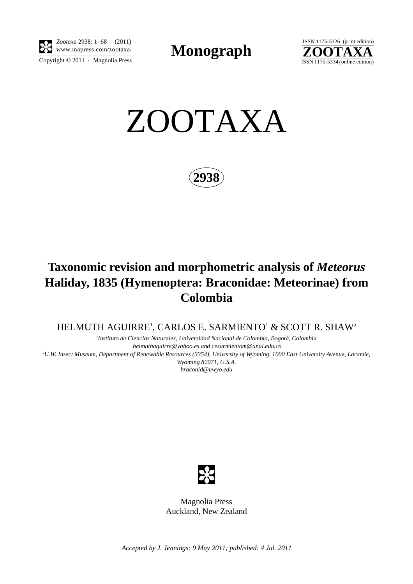

*Zootaxa* 2938: 1–68 (2011) www.mapress.com/zootaxa/ **Monograph**



ZOOTAXA

**2938**

# **Taxonomic revision and morphometric analysis of** *Meteorus* **Haliday, 1835 (Hymenoptera: Braconidae: Meteorinae) from Colombia**

HELMUTH AGUIRRE<sup>1</sup>, CARLOS E. SARMIENTO<sup>1</sup> & SCOTT R. SHAW<sup>2</sup>

*1 Instituto de Ciencias Naturales, Universidad Nacional de Colombia, Bogotá, Colombia helmuthaguirre@yahoo.es and cesarmientom@unal.edu.co 2 U.W. Insect Museum, Department of Renewable Resources (3354), University of Wyoming, 1000 East University Avenue, Laramie, Wyoming 82071, U.S.A. braconid@uwyo.edu*



Magnolia Press Auckland, New Zealand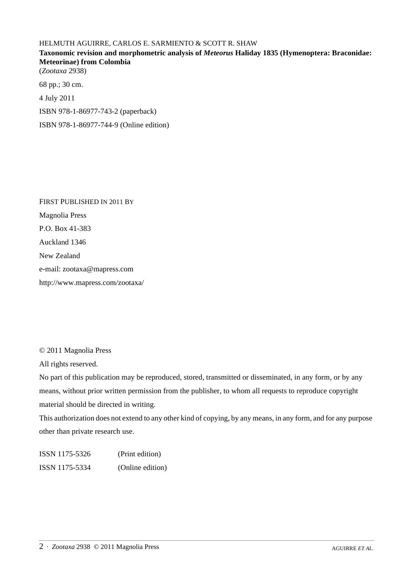# HELMUTH AGUIRRE, CARLOS E. SARMIENTO & SCOTT R. SHAW **Taxonomic revision and morphometric analysis of** *Meteorus* **Haliday 1835 (Hymenoptera: Braconidae: Meteorinae) from Colombia** (*Zootaxa* 2938) 68 pp.; 30 cm.

4 July 2011

ISBN 978-1-86977-743-2 (paperback)

ISBN 978-1-86977-744-9 (Online edition)

FIRST PUBLISHED IN 2011 BY Magnolia Press P.O. Box 41-383 Auckland 1346 New Zealand e-mail: zootaxa@mapress.com http://www.mapress.com/zootaxa/

© 2011 Magnolia Press

All rights reserved.

No part of this publication may be reproduced, stored, transmitted or disseminated, in any form, or by any means, without prior written permission from the publisher, to whom all requests to reproduce copyright material should be directed in writing.

This authorization does not extend to any other kind of copying, by any means, in any form, and for any purpose other than private research use.

ISSN 1175-5326 (Print edition) ISSN 1175-5334 (Online edition)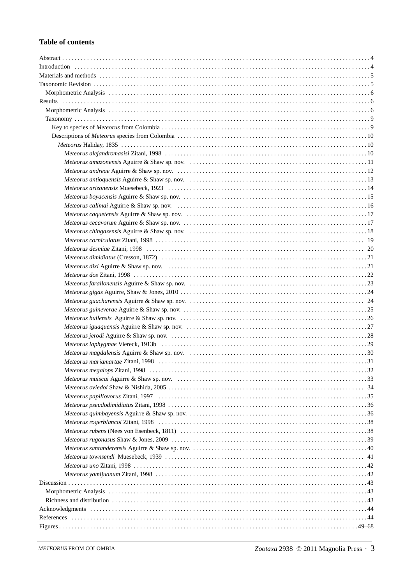## **Table of contents**